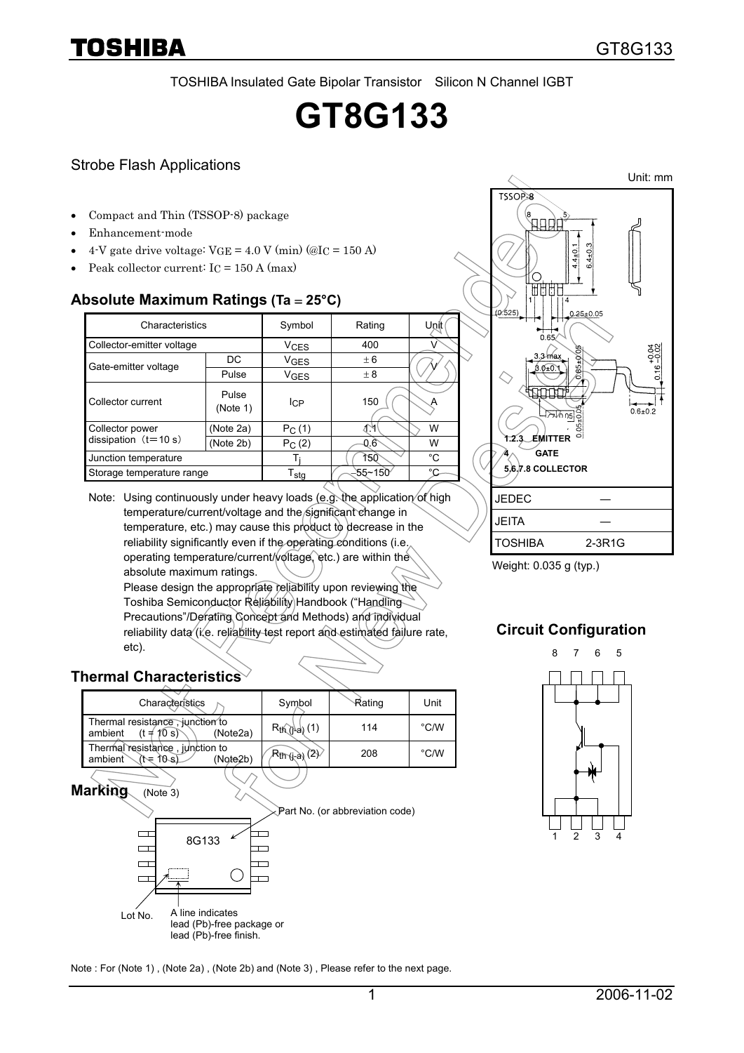TOSHIBA Insulated Gate Bipolar Transistor Silicon N Channel IGBT

# **GT8G133**

### Strobe Flash Applications

- Compact and Thin (TSSOP-8) package
- Enhancement-mode
- 4-V gate drive voltage:  $VGE = 4.0 V (min)$  (@I<sub>C</sub> = 150 A)
- Peak collector current:  $I_C = 150$  A (max)

### **Absolute Maximum Ratings (Ta** = **25°C)**

| Characteristics           |                   | Symbol                      | Rating               | Unit |
|---------------------------|-------------------|-----------------------------|----------------------|------|
| Collector-emitter voltage |                   | <b>V<sub>CES</sub></b>      | 400                  |      |
| Gate-emitter voltage      | DC.               | <b>V<sub>GES</sub></b>      | ± 6                  |      |
|                           | Pulse             | VGES                        | $\pm 8$              |      |
| Collector current         | Pulse<br>(Note 1) | IсP                         | 150                  |      |
| Collector power           | (Note 2a)         | $P_C(1)$                    |                      | W    |
| dissipation $(t=10 s)$    | (Note 2b)         | $P_C(2)$                    | $0.6^{\circ}$        | W    |
| Junction temperature      |                   |                             | 150                  | °C   |
| Storage temperature range |                   | $\mathsf{T}_{\textsf{stg}}$ | $55 - 150$<br>$\sim$ | °C   |



## **Thermal Characteristics**

| Characteristics                                                           | Symbol                                | Rating | Unit           |
|---------------------------------------------------------------------------|---------------------------------------|--------|----------------|
| Thermal resistance, junction to<br>$(t \neq 10 s)$<br>ambient<br>(Note2a) | $R_{th}$ $\rightarrow$ $(1)$          | 114    | $^{\circ}$ C/W |
| Thermal resistance, junction to<br>ambient<br>(Note2b)<br>(t= 10-s)       | $R_{\text{th}}$ ( $\rightarrow$ ) (2) | 208    | $^{\circ}$ C/W |

**Marking** (Note 3)



Unit: mm TSSOP-8 心中内  $5.4 \pm 0.3$  $4 \pm 0$ . **TAR** 6.525/  $0.25 \pm 0.05$  $0.65$  $0.16 - 0.02$  $0.6 \pm 0.2$  $\overline{05}$ **1.2.3 EMITTER 4 GATE 5.6.7.8 COLLECTOR** JEDEC ― **JEITA** TOSHIBA 2-3R1G

Weight: 0.035 g (typ.)

## **Circuit Configuration**



Note : For (Note 1) , (Note 2a) , (Note 2b) and (Note 3) , Please refer to the next page.

Part No. (or abbreviation code)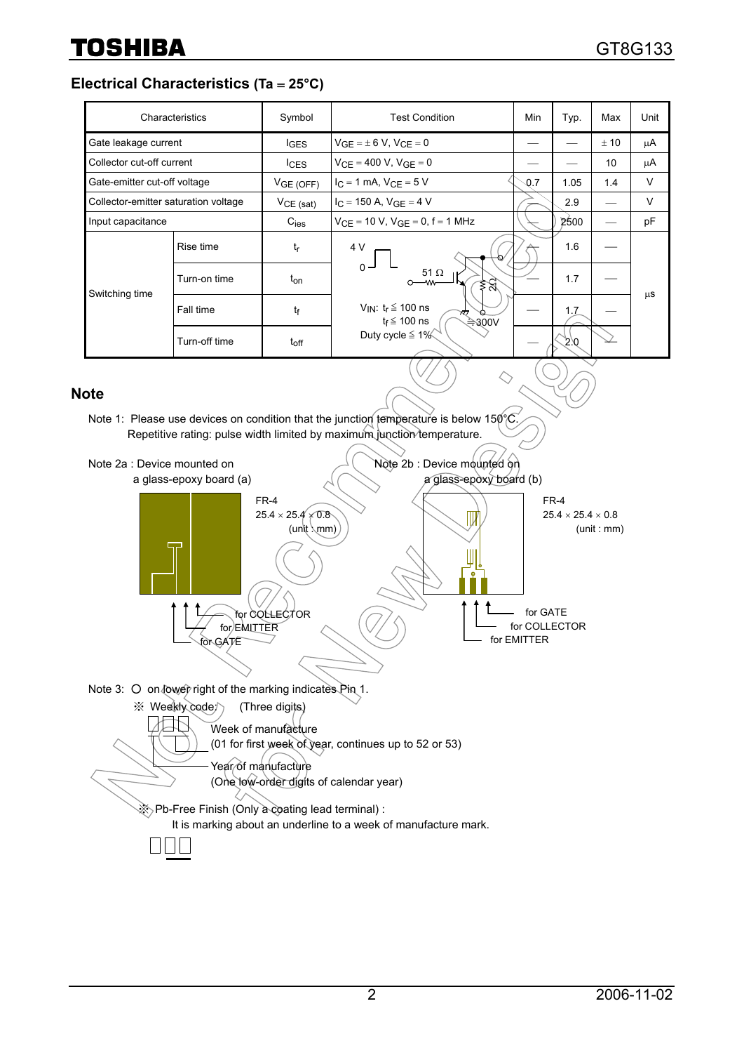**Electrical Characteristics (Ta** = **25°C)** 

|                                      | Characteristics | Symbol             | <b>Test Condition</b>                                                                                                                            | Min | Typ. | Max  | Unit   |
|--------------------------------------|-----------------|--------------------|--------------------------------------------------------------------------------------------------------------------------------------------------|-----|------|------|--------|
| Gate leakage current                 |                 | <b>IGES</b>        | $V_{GF} = \pm 6 V$ , $V_{CF} = 0$                                                                                                                |     |      | ± 10 | μA     |
| Collector cut-off current            |                 | $l$ <sub>CES</sub> | $V_{CF} = 400 V$ , $V_{GF} = 0$                                                                                                                  |     |      | 10   | μA     |
| Gate-emitter cut-off voltage         |                 | VGE(OFF)           | $I_C = 1$ mA, $V_{CF} = 5$ V                                                                                                                     | 0.7 | 1.05 | 1.4  | V      |
| Collector-emitter saturation voltage |                 | $VCE$ (sat)        | $I_C = 150$ A, $V_{GF} = 4$ V                                                                                                                    |     | 2.9  |      | $\vee$ |
| Input capacitance                    |                 | $C_{\text{ies}}$   | $V_{CE} = 10 V$ , $V_{GE} = 0$ , f = 1 MHz                                                                                                       |     | 2500 |      | pF     |
| Switching time                       | Rise time       | tr                 | 4 V<br>$0 -$<br>51 $\Omega$<br>≸র্<br>–∧∧∧<br>V <sub>IN</sub> : $t_r \leq 100$ ns<br>77.7<br>$t_f \leq 100$ ns<br>≑300V<br>Duty cycle $\leq 1\%$ |     | 1.6  |      | μS     |
|                                      | Turn-on time    | $t_{on}$           |                                                                                                                                                  |     | 1.7  |      |        |
|                                      | Fall time       | tf                 |                                                                                                                                                  |     | 1.7  |      |        |
|                                      | Turn-off time   | $t_{off}$          |                                                                                                                                                  |     | 20   |      |        |

### **Note**

Note 1: Please use devices on condition that the junction temperature is below 150 $\degree$ C Repetitive rating: pulse width limited by maximum junction temperature.

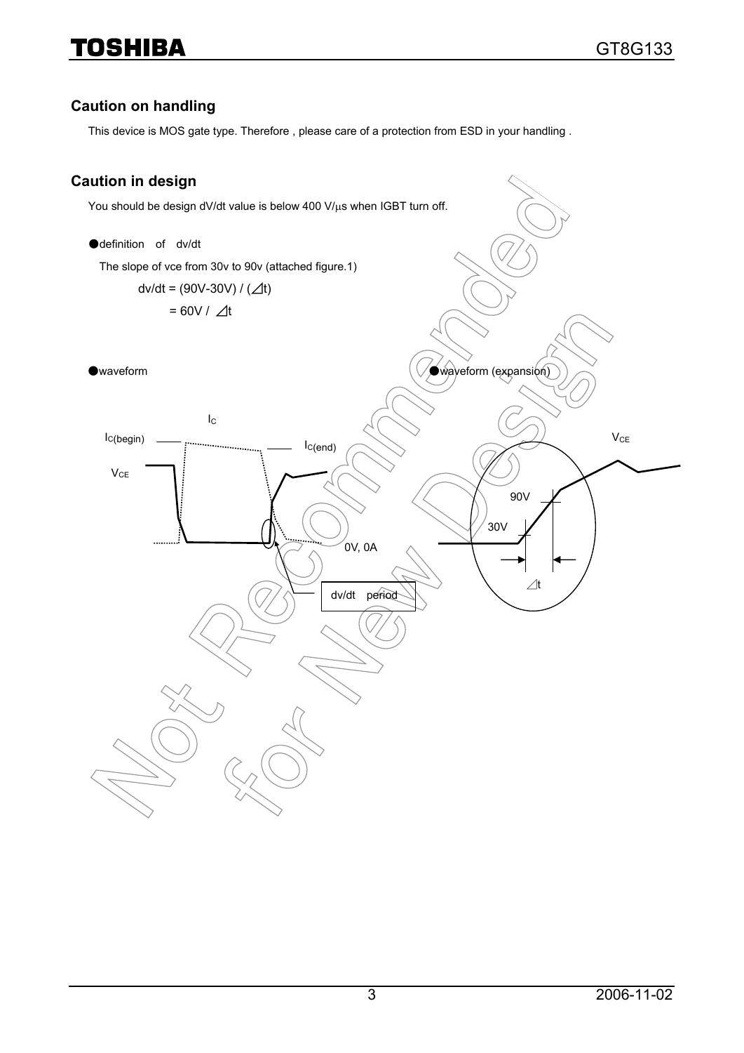# **Caution on handling**

This device is MOS gate type. Therefore , please care of a protection from ESD in your handling .

# **Caution in design**

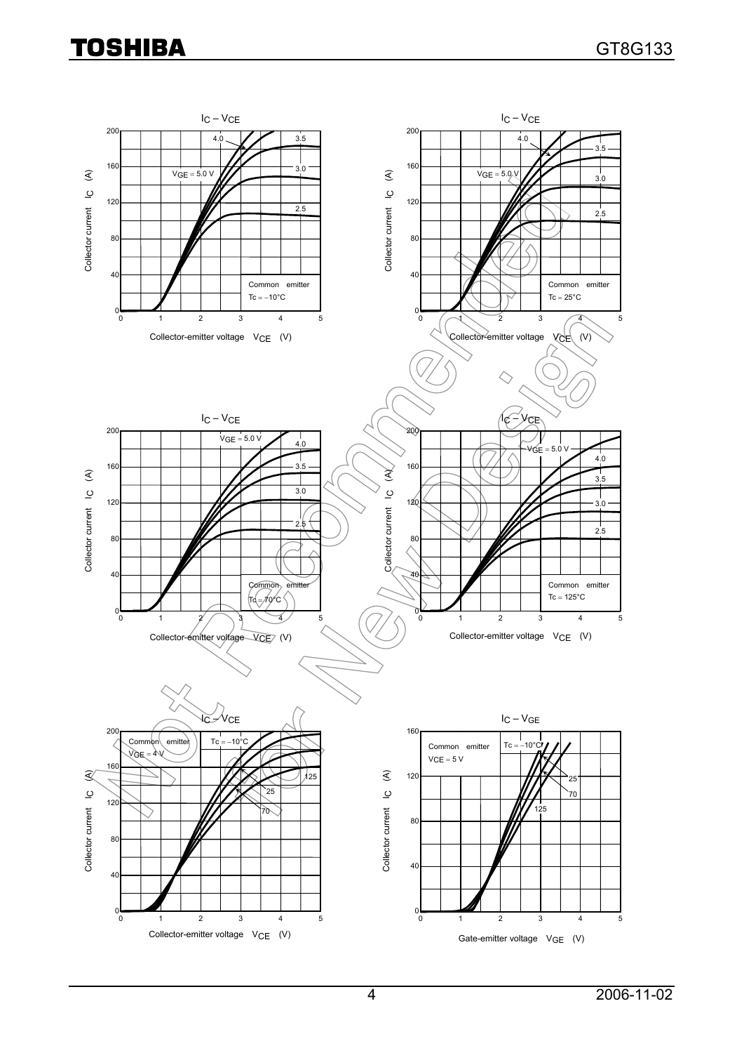# **TOSHIBA**

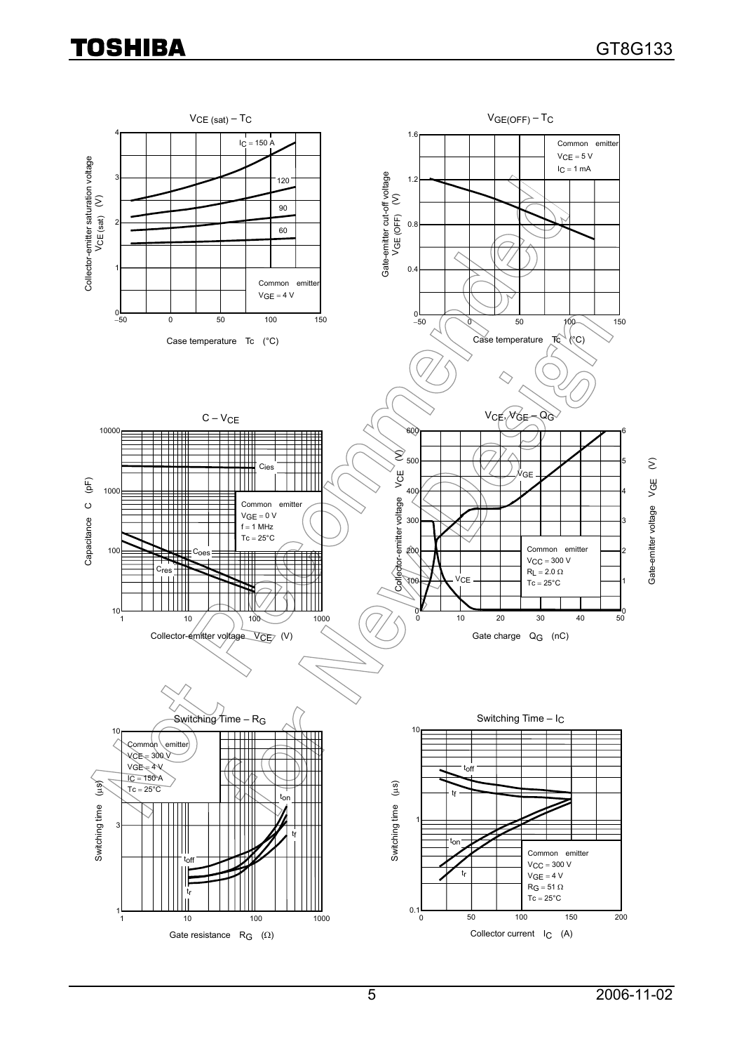# **TOSHIBA**

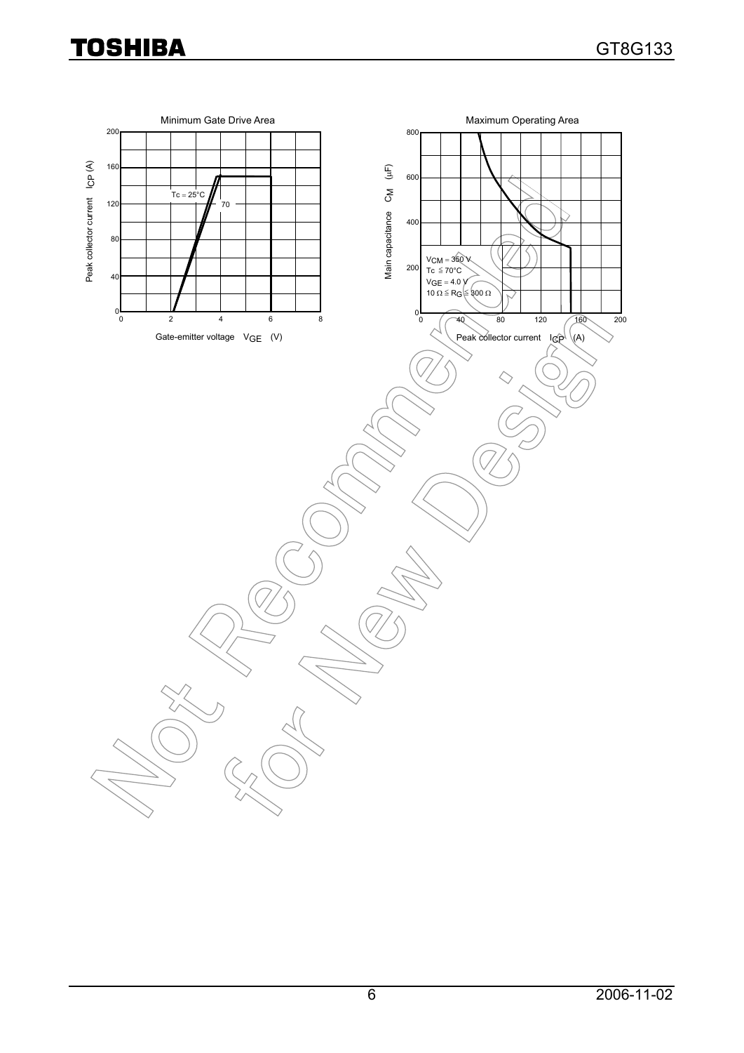# **TOSHIBA**